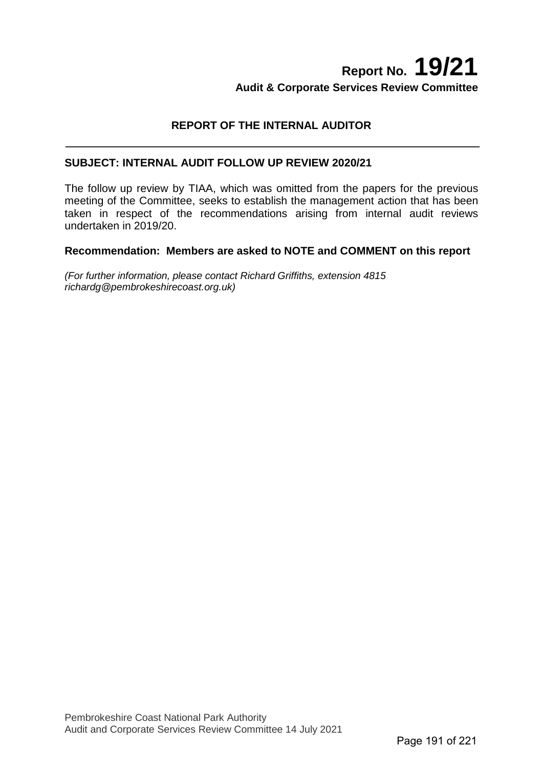## **Report No. 19/21 Audit & Corporate Services Review Committee**

#### **REPORT OF THE INTERNAL AUDITOR**

#### **SUBJECT: INTERNAL AUDIT FOLLOW UP REVIEW 2020/21**

The follow up review by TIAA, which was omitted from the papers for the previous meeting of the Committee, seeks to establish the management action that has been taken in respect of the recommendations arising from internal audit reviews undertaken in 2019/20.

#### **Recommendation: Members are asked to NOTE and COMMENT on this report**

*(For further information, please contact Richard Griffiths, extension 4815 richardg@pembrokeshirecoast.org.uk)*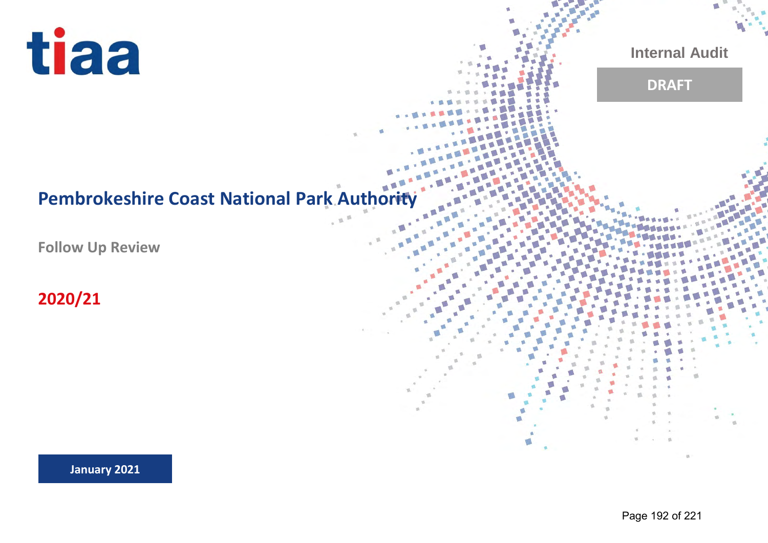

**Internal Audit**

## **DRAFT**

# **Pembrokeshire Coast National Park Authority**

**Follow Up Review**

**2020/21**

**January 2021**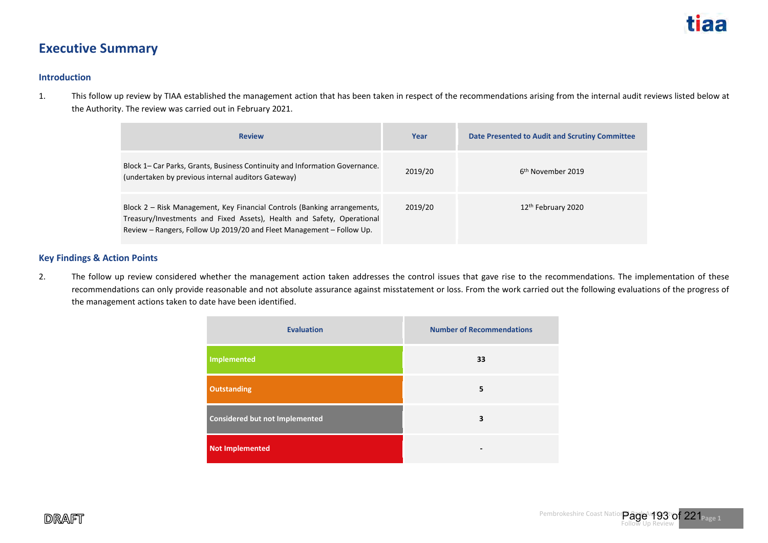

### **Executive Summary**

#### **Introduction**

1. This follow up review by TIAA established the management action that has been taken in respect of the recommendations arising from the internal audit reviews listed below at the Authority. The review was carried out in February 2021.

| <b>Review</b>                                                                                                                                                                                                               | Year    | Date Presented to Audit and Scrutiny Committee |
|-----------------------------------------------------------------------------------------------------------------------------------------------------------------------------------------------------------------------------|---------|------------------------------------------------|
| Block 1– Car Parks, Grants, Business Continuity and Information Governance.<br>(undertaken by previous internal auditors Gateway)                                                                                           | 2019/20 | 6 <sup>th</sup> November 2019                  |
| Block 2 – Risk Management, Key Financial Controls (Banking arrangements,<br>Treasury/Investments and Fixed Assets), Health and Safety, Operational<br>Review - Rangers, Follow Up 2019/20 and Fleet Management - Follow Up. | 2019/20 | 12 <sup>th</sup> February 2020                 |

#### **Key Findings & Action Points**

2. The follow up review considered whether the management action taken addresses the control issues that gave rise to the recommendations. The implementation of these recommendations can only provide reasonable and not absolute assurance against misstatement or loss. From the work carried out the following evaluations of the progress of the management actions taken to date have been identified.

| <b>Evaluation</b>                     | <b>Number of Recommendations</b> |
|---------------------------------------|----------------------------------|
| Implemented                           | 33                               |
| <b>Outstanding</b>                    | 5                                |
| <b>Considered but not Implemented</b> | 3                                |
| Not Implemented                       |                                  |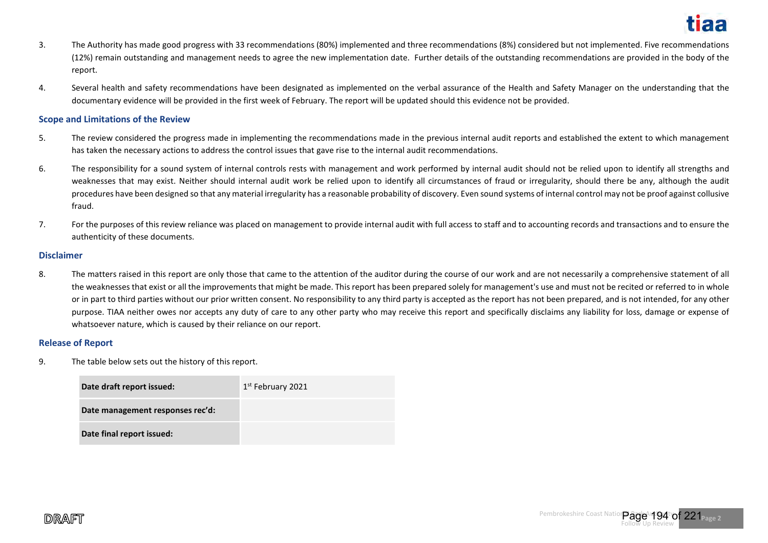

- 3. The Authority has made good progress with 33 recommendations (80%) implemented and three recommendations (8%) considered but not implemented. Five recommendations (12%) remain outstanding and management needs to agree the new implementation date. Further details of the outstanding recommendations are provided in the body of the report.
- 4. Several health and safety recommendations have been designated as implemented on the verbal assurance of the Health and Safety Manager on the understanding that the documentary evidence will be provided in the first week of February. The report will be updated should this evidence not be provided.

#### **Scope and Limitations of the Review**

- 5. The review considered the progress made in implementing the recommendations made in the previous internal audit reports and established the extent to which management has taken the necessary actions to address the control issues that gave rise to the internal audit recommendations.
- 6. The responsibility for a sound system of internal controls rests with management and work performed by internal audit should not be relied upon to identify all strengths and weaknesses that may exist. Neither should internal audit work be relied upon to identify all circumstances of fraud or irregularity, should there be any, although the audit procedures have been designed so that any material irregularity has a reasonable probability of discovery. Even sound systems of internal control may not be proof against collusive fraud.
- 7. For the purposes of this review reliance was placed on management to provide internal audit with full access to staff and to accounting records and transactions and to ensure the authenticity of these documents.

#### **Disclaimer**

8. The matters raised in this report are only those that came to the attention of the auditor during the course of our work and are not necessarily a comprehensive statement of all the weaknesses that exist or all the improvements that might be made. This report has been prepared solely for management's use and must not be recited or referred to in whole or in part to third parties without our prior written consent. No responsibility to any third party is accepted as the report has not been prepared, and is not intended, for any other purpose. TIAA neither owes nor accepts any duty of care to any other party who may receive this report and specifically disclaims any liability for loss, damage or expense of whatsoever nature, which is caused by their reliance on our report.

#### **Release of Report**

9. The table below sets out the history of this report.

| Date draft report issued:        | 1 <sup>st</sup> February 2021 |
|----------------------------------|-------------------------------|
| Date management responses rec'd: |                               |
| Date final report issued:        |                               |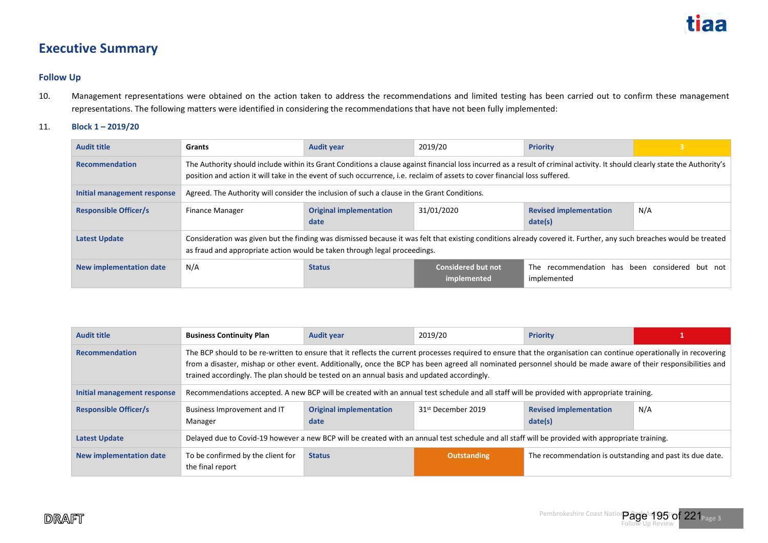## **Executive Summary**

#### **Follow Up**

- 10. Management representations were obtained on the action taken to address the recommendations and limited testing has been carried out to confirm these management representations. The following matters were identified in considering the recommendations that have not been fully implemented:
- 11. **Block 1 2019/20**

| <b>Audit title</b>           | Grants                                                                                                                                                                                                                                                                                                    | <b>Audit year</b>                      | 2019/20                                  | <b>Priority</b>                                               |     |
|------------------------------|-----------------------------------------------------------------------------------------------------------------------------------------------------------------------------------------------------------------------------------------------------------------------------------------------------------|----------------------------------------|------------------------------------------|---------------------------------------------------------------|-----|
| <b>Recommendation</b>        | The Authority should include within its Grant Conditions a clause against financial loss incurred as a result of criminal activity. It should clearly state the Authority's<br>position and action it will take in the event of such occurrence, i.e. reclaim of assets to cover financial loss suffered. |                                        |                                          |                                                               |     |
| Initial management response  | Agreed. The Authority will consider the inclusion of such a clause in the Grant Conditions.                                                                                                                                                                                                               |                                        |                                          |                                                               |     |
| <b>Responsible Officer/s</b> | <b>Finance Manager</b>                                                                                                                                                                                                                                                                                    | <b>Original implementation</b><br>date | 31/01/2020                               | <b>Revised implementation</b><br>date(s)                      | N/A |
| <b>Latest Update</b>         | Consideration was given but the finding was dismissed because it was felt that existing conditions already covered it. Further, any such breaches would be treated<br>as fraud and appropriate action would be taken through legal proceedings.                                                           |                                        |                                          |                                                               |     |
| New implementation date      | N/A                                                                                                                                                                                                                                                                                                       | <b>Status</b>                          | <b>Considered but not</b><br>implemented | The recommendation has been considered but not<br>implemented |     |

| <b>Audit title</b>             | <b>Business Continuity Plan</b>                                                                                                                                                                                                                                                                                                                                                                                                   | <b>Audit year</b>                      | 2019/20                        | <b>Priority</b>                                          |     |
|--------------------------------|-----------------------------------------------------------------------------------------------------------------------------------------------------------------------------------------------------------------------------------------------------------------------------------------------------------------------------------------------------------------------------------------------------------------------------------|----------------------------------------|--------------------------------|----------------------------------------------------------|-----|
| <b>Recommendation</b>          | The BCP should to be re-written to ensure that it reflects the current processes required to ensure that the organisation can continue operationally in recovering<br>from a disaster, mishap or other event. Additionally, once the BCP has been agreed all nominated personnel should be made aware of their responsibilities and<br>trained accordingly. The plan should be tested on an annual basis and updated accordingly. |                                        |                                |                                                          |     |
| Initial management response    | Recommendations accepted. A new BCP will be created with an annual test schedule and all staff will be provided with appropriate training.                                                                                                                                                                                                                                                                                        |                                        |                                |                                                          |     |
| <b>Responsible Officer/s</b>   | Business Improvement and IT<br>Manager                                                                                                                                                                                                                                                                                                                                                                                            | <b>Original implementation</b><br>date | 31 <sup>st</sup> December 2019 | <b>Revised implementation</b><br>date(s)                 | N/A |
| <b>Latest Update</b>           | Delayed due to Covid-19 however a new BCP will be created with an annual test schedule and all staff will be provided with appropriate training.                                                                                                                                                                                                                                                                                  |                                        |                                |                                                          |     |
| <b>New implementation date</b> | To be confirmed by the client for<br>the final report                                                                                                                                                                                                                                                                                                                                                                             | <b>Status</b>                          | <b>Outstanding</b>             | The recommendation is outstanding and past its due date. |     |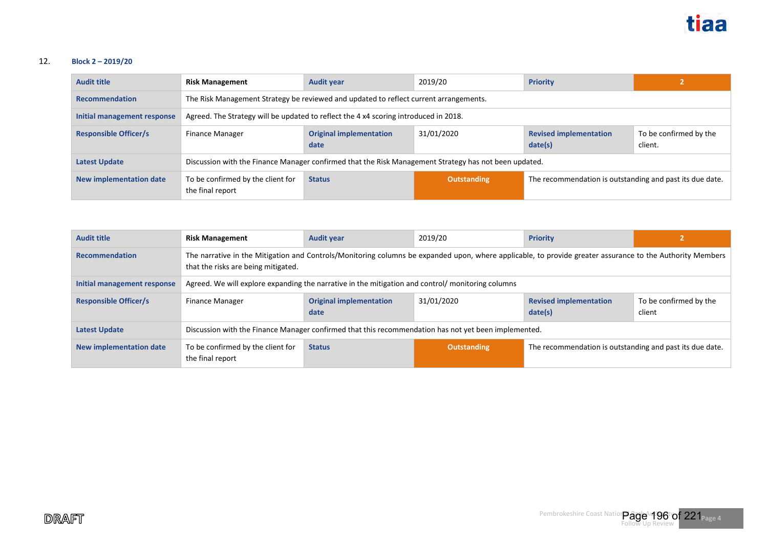#### 12. **Block 2 – 2019/20**

| <b>Audit title</b>             | <b>Risk Management</b>                                                                                | <b>Audit year</b>                      | 2019/20            | <b>Priority</b>                                          |                                   |
|--------------------------------|-------------------------------------------------------------------------------------------------------|----------------------------------------|--------------------|----------------------------------------------------------|-----------------------------------|
| <b>Recommendation</b>          | The Risk Management Strategy be reviewed and updated to reflect current arrangements.                 |                                        |                    |                                                          |                                   |
| Initial management response    | Agreed. The Strategy will be updated to reflect the 4 x4 scoring introduced in 2018.                  |                                        |                    |                                                          |                                   |
| <b>Responsible Officer/s</b>   | Finance Manager                                                                                       | <b>Original implementation</b><br>date | 31/01/2020         | <b>Revised implementation</b><br>date(s)                 | To be confirmed by the<br>client. |
| <b>Latest Update</b>           | Discussion with the Finance Manager confirmed that the Risk Management Strategy has not been updated. |                                        |                    |                                                          |                                   |
| <b>New implementation date</b> | To be confirmed by the client for<br>the final report                                                 | <b>Status</b>                          | <b>Outstanding</b> | The recommendation is outstanding and past its due date. |                                   |

| <b>Audit title</b>             | <b>Risk Management</b>                                                                                                                                                                           | <b>Audit year</b>                      | 2019/20     | <b>Priority</b>                                          |                                  |
|--------------------------------|--------------------------------------------------------------------------------------------------------------------------------------------------------------------------------------------------|----------------------------------------|-------------|----------------------------------------------------------|----------------------------------|
| <b>Recommendation</b>          | The narrative in the Mitigation and Controls/Monitoring columns be expanded upon, where applicable, to provide greater assurance to the Authority Members<br>that the risks are being mitigated. |                                        |             |                                                          |                                  |
| Initial management response    | Agreed. We will explore expanding the narrative in the mitigation and control/monitoring columns                                                                                                 |                                        |             |                                                          |                                  |
| <b>Responsible Officer/s</b>   | Finance Manager                                                                                                                                                                                  | <b>Original implementation</b><br>date | 31/01/2020  | <b>Revised implementation</b><br>date(s)                 | To be confirmed by the<br>client |
| <b>Latest Update</b>           | Discussion with the Finance Manager confirmed that this recommendation has not yet been implemented.                                                                                             |                                        |             |                                                          |                                  |
| <b>New implementation date</b> | To be confirmed by the client for<br>the final report                                                                                                                                            | <b>Status</b>                          | Outstanding | The recommendation is outstanding and past its due date. |                                  |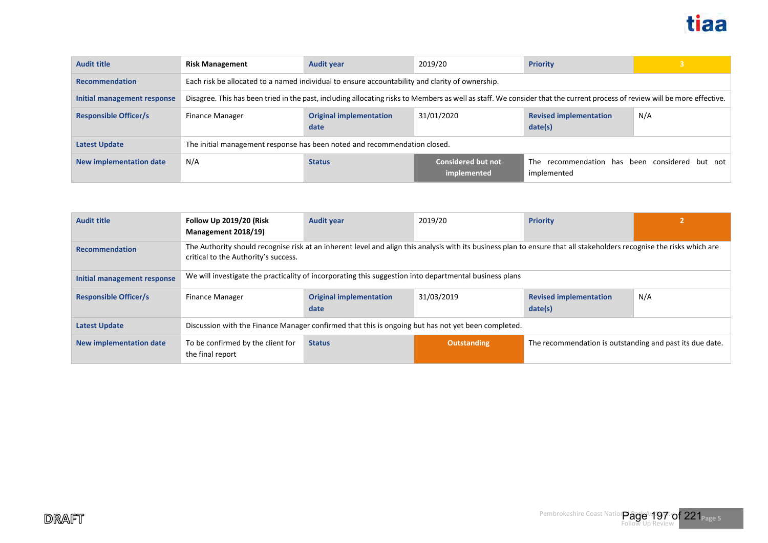

| <b>Audit title</b>           | <b>Risk Management</b>                                                                                                                                                    | <b>Audit year</b>                      | 2019/20                                  | <b>Priority</b>                                               |     |  |
|------------------------------|---------------------------------------------------------------------------------------------------------------------------------------------------------------------------|----------------------------------------|------------------------------------------|---------------------------------------------------------------|-----|--|
| <b>Recommendation</b>        | Each risk be allocated to a named individual to ensure accountability and clarity of ownership.                                                                           |                                        |                                          |                                                               |     |  |
| Initial management response  | Disagree. This has been tried in the past, including allocating risks to Members as well as staff. We consider that the current process of review will be more effective. |                                        |                                          |                                                               |     |  |
| <b>Responsible Officer/s</b> | <b>Finance Manager</b>                                                                                                                                                    | <b>Original implementation</b><br>date | 31/01/2020                               | <b>Revised implementation</b><br>date(s)                      | N/A |  |
| <b>Latest Update</b>         | The initial management response has been noted and recommendation closed.                                                                                                 |                                        |                                          |                                                               |     |  |
| New implementation date      | N/A                                                                                                                                                                       | <b>Status</b>                          | <b>Considered but not</b><br>implemented | The recommendation has been considered but not<br>implemented |     |  |

| <b>Audit title</b>             | <b>Follow Up 2019/20 (Risk</b><br>Management 2018/19)                                                                                                                                                         | <b>Audit year</b>                      | 2019/20            | <b>Priority</b>                                          |     |
|--------------------------------|---------------------------------------------------------------------------------------------------------------------------------------------------------------------------------------------------------------|----------------------------------------|--------------------|----------------------------------------------------------|-----|
| <b>Recommendation</b>          | The Authority should recognise risk at an inherent level and align this analysis with its business plan to ensure that all stakeholders recognise the risks which are<br>critical to the Authority's success. |                                        |                    |                                                          |     |
| Initial management response    | We will investigate the practicality of incorporating this suggestion into departmental business plans                                                                                                        |                                        |                    |                                                          |     |
| <b>Responsible Officer/s</b>   | <b>Finance Manager</b>                                                                                                                                                                                        | <b>Original implementation</b><br>date | 31/03/2019         | <b>Revised implementation</b><br>date(s)                 | N/A |
| <b>Latest Update</b>           | Discussion with the Finance Manager confirmed that this is ongoing but has not yet been completed.                                                                                                            |                                        |                    |                                                          |     |
| <b>New implementation date</b> | To be confirmed by the client for<br>the final report                                                                                                                                                         | <b>Status</b>                          | <b>Outstanding</b> | The recommendation is outstanding and past its due date. |     |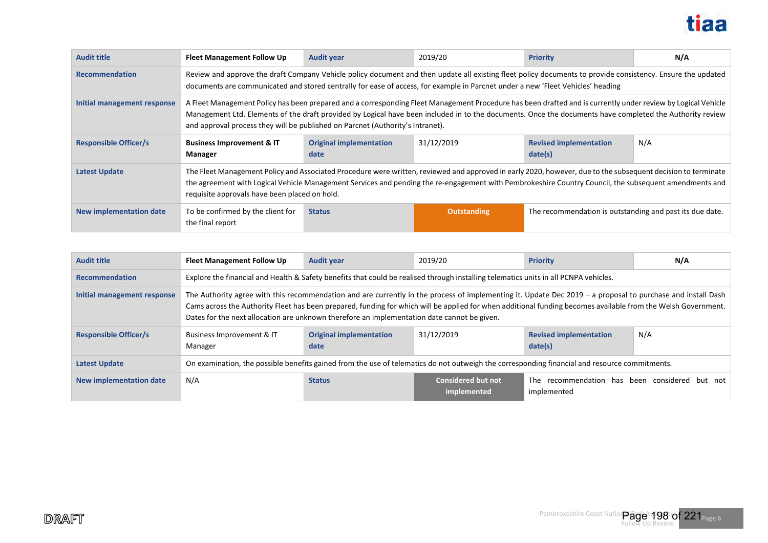

| <b>Audit title</b>           | <b>Fleet Management Follow Up</b>                                                                                                                                                                                                                                                                                                                                                                          | <b>Audit year</b>                                                                                                                                                                                                                                                                              | 2019/20            | <b>Priority</b>                                          | N/A |  |
|------------------------------|------------------------------------------------------------------------------------------------------------------------------------------------------------------------------------------------------------------------------------------------------------------------------------------------------------------------------------------------------------------------------------------------------------|------------------------------------------------------------------------------------------------------------------------------------------------------------------------------------------------------------------------------------------------------------------------------------------------|--------------------|----------------------------------------------------------|-----|--|
| <b>Recommendation</b>        |                                                                                                                                                                                                                                                                                                                                                                                                            | Review and approve the draft Company Vehicle policy document and then update all existing fleet policy documents to provide consistency. Ensure the updated<br>documents are communicated and stored centrally for ease of access, for example in Parcnet under a new 'Fleet Vehicles' heading |                    |                                                          |     |  |
| Initial management response  | A Fleet Management Policy has been prepared and a corresponding Fleet Management Procedure has been drafted and is currently under review by Logical Vehicle<br>Management Ltd. Elements of the draft provided by Logical have been included in to the documents. Once the documents have completed the Authority review<br>and approval process they will be published on Parcnet (Authority's Intranet). |                                                                                                                                                                                                                                                                                                |                    |                                                          |     |  |
| <b>Responsible Officer/s</b> | <b>Business Improvement &amp; IT</b><br>Manager                                                                                                                                                                                                                                                                                                                                                            | <b>Original implementation</b><br>date                                                                                                                                                                                                                                                         | 31/12/2019         | <b>Revised implementation</b><br>date(s)                 | N/A |  |
| <b>Latest Update</b>         | The Fleet Management Policy and Associated Procedure were written, reviewed and approved in early 2020, however, due to the subsequent decision to terminate<br>the agreement with Logical Vehicle Management Services and pending the re-engagement with Pembrokeshire Country Council, the subsequent amendments and<br>requisite approvals have been placed on hold.                                    |                                                                                                                                                                                                                                                                                                |                    |                                                          |     |  |
| New implementation date      | To be confirmed by the client for<br>the final report                                                                                                                                                                                                                                                                                                                                                      | <b>Status</b>                                                                                                                                                                                                                                                                                  | <b>Outstanding</b> | The recommendation is outstanding and past its due date. |     |  |

| <b>Audit title</b>           | <b>Fleet Management Follow Up</b>                                                                                                                                                                                                                                                                                                                                                                                           | <b>Audit year</b>                                                                                                                    | 2019/20                                  | <b>Priority</b>                                               | N/A |  |
|------------------------------|-----------------------------------------------------------------------------------------------------------------------------------------------------------------------------------------------------------------------------------------------------------------------------------------------------------------------------------------------------------------------------------------------------------------------------|--------------------------------------------------------------------------------------------------------------------------------------|------------------------------------------|---------------------------------------------------------------|-----|--|
| <b>Recommendation</b>        |                                                                                                                                                                                                                                                                                                                                                                                                                             | Explore the financial and Health & Safety benefits that could be realised through installing telematics units in all PCNPA vehicles. |                                          |                                                               |     |  |
| Initial management response  | The Authority agree with this recommendation and are currently in the process of implementing it. Update Dec 2019 - a proposal to purchase and install Dash<br>Cams across the Authority Fleet has been prepared, funding for which will be applied for when additional funding becomes available from the Welsh Government.<br>Dates for the next allocation are unknown therefore an implementation date cannot be given. |                                                                                                                                      |                                          |                                                               |     |  |
| <b>Responsible Officer/s</b> | Business Improvement & IT<br>Manager                                                                                                                                                                                                                                                                                                                                                                                        | <b>Original implementation</b><br>date                                                                                               | 31/12/2019                               | <b>Revised implementation</b><br>date(s)                      | N/A |  |
| <b>Latest Update</b>         | On examination, the possible benefits gained from the use of telematics do not outweigh the corresponding financial and resource commitments.                                                                                                                                                                                                                                                                               |                                                                                                                                      |                                          |                                                               |     |  |
| New implementation date      | N/A                                                                                                                                                                                                                                                                                                                                                                                                                         | <b>Status</b>                                                                                                                        | <b>Considered but not</b><br>implemented | The recommendation has been considered but not<br>implemented |     |  |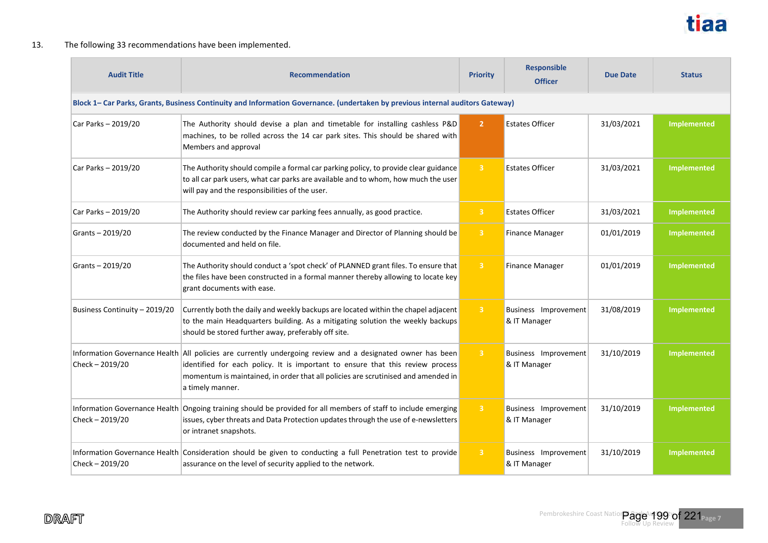

#### 13. The following 33 recommendations have been implemented.

| <b>Audit Title</b>            | <b>Recommendation</b>                                                                                                                                                                                                                                                                                 |                         | <b>Responsible</b><br><b>Officer</b> | Due Date   | <b>Status</b>      |  |  |  |
|-------------------------------|-------------------------------------------------------------------------------------------------------------------------------------------------------------------------------------------------------------------------------------------------------------------------------------------------------|-------------------------|--------------------------------------|------------|--------------------|--|--|--|
|                               | Block 1- Car Parks, Grants, Business Continuity and Information Governance. (undertaken by previous internal auditors Gateway)                                                                                                                                                                        |                         |                                      |            |                    |  |  |  |
| Car Parks - 2019/20           | The Authority should devise a plan and timetable for installing cashless P&D<br>machines, to be rolled across the 14 car park sites. This should be shared with<br>Members and approval                                                                                                               | 2 <sup>1</sup>          | <b>Estates Officer</b>               | 31/03/2021 | <b>Implemented</b> |  |  |  |
| Car Parks - 2019/20           | The Authority should compile a formal car parking policy, to provide clear guidance<br>to all car park users, what car parks are available and to whom, how much the user<br>will pay and the responsibilities of the user.                                                                           | $-3$                    | <b>Estates Officer</b>               | 31/03/2021 | <b>Implemented</b> |  |  |  |
| Car Parks - 2019/20           | The Authority should review car parking fees annually, as good practice.                                                                                                                                                                                                                              | $\overline{3}$          | <b>Estates Officer</b>               | 31/03/2021 | <b>Implemented</b> |  |  |  |
| Grants-2019/20                | The review conducted by the Finance Manager and Director of Planning should be<br>documented and held on file.                                                                                                                                                                                        | $\overline{\mathbf{3}}$ | <b>Finance Manager</b>               | 01/01/2019 | <b>Implemented</b> |  |  |  |
| Grants-2019/20                | The Authority should conduct a 'spot check' of PLANNED grant files. To ensure that<br>the files have been constructed in a formal manner thereby allowing to locate key<br>grant documents with ease.                                                                                                 | $\overline{\mathbf{3}}$ | <b>Finance Manager</b>               | 01/01/2019 | <b>Implemented</b> |  |  |  |
| Business Continuity - 2019/20 | Currently both the daily and weekly backups are located within the chapel adjacent<br>to the main Headquarters building. As a mitigating solution the weekly backups<br>should be stored further away, preferably off site.                                                                           | $\overline{\mathbf{3}}$ | Business Improvement<br>& IT Manager | 31/08/2019 | <b>Implemented</b> |  |  |  |
| Check - 2019/20               | Information Governance Health All policies are currently undergoing review and a designated owner has been<br>identified for each policy. It is important to ensure that this review process<br>momentum is maintained, in order that all policies are scrutinised and amended in<br>a timely manner. | $\overline{3}$          | Business Improvement<br>& IT Manager | 31/10/2019 | Implemented        |  |  |  |
| Check - 2019/20               | Information Governance Health Ongoing training should be provided for all members of staff to include emerging<br>issues, cyber threats and Data Protection updates through the use of e-newsletters<br>or intranet snapshots.                                                                        | $\overline{3}$          | Business Improvement<br>& IT Manager | 31/10/2019 | <b>Implemented</b> |  |  |  |
| Check - 2019/20               | Information Governance Health Consideration should be given to conducting a full Penetration test to provide<br>assurance on the level of security applied to the network.                                                                                                                            | $\overline{\mathbf{3}}$ | Business Improvement<br>& IT Manager | 31/10/2019 | Implemented        |  |  |  |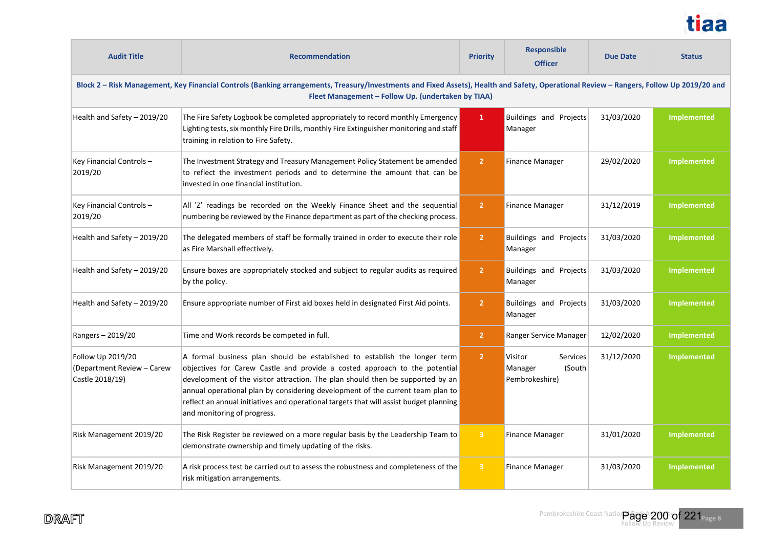

| <b>Audit Title</b>                                                                                                                                                                                                                            | <b>Recommendation</b>                                                                                                                                                                                                                                                                                                                                                                                                                                | <b>Priority</b> | <b>Responsible</b><br><b>Officer</b>                       | <b>Due Date</b> | <b>Status</b>      |  |  |
|-----------------------------------------------------------------------------------------------------------------------------------------------------------------------------------------------------------------------------------------------|------------------------------------------------------------------------------------------------------------------------------------------------------------------------------------------------------------------------------------------------------------------------------------------------------------------------------------------------------------------------------------------------------------------------------------------------------|-----------------|------------------------------------------------------------|-----------------|--------------------|--|--|
| Block 2 - Risk Management, Key Financial Controls (Banking arrangements, Treasury/Investments and Fixed Assets), Health and Safety, Operational Review - Rangers, Follow Up 2019/20 and<br>Fleet Management - Follow Up. (undertaken by TIAA) |                                                                                                                                                                                                                                                                                                                                                                                                                                                      |                 |                                                            |                 |                    |  |  |
| Health and Safety - 2019/20                                                                                                                                                                                                                   | The Fire Safety Logbook be completed appropriately to record monthly Emergency<br>Lighting tests, six monthly Fire Drills, monthly Fire Extinguisher monitoring and staff<br>training in relation to Fire Safety.                                                                                                                                                                                                                                    | $\mathbf{1}$    | Buildings and Projects<br>Manager                          | 31/03/2020      | <b>Implemented</b> |  |  |
| Key Financial Controls-<br>2019/20                                                                                                                                                                                                            | The Investment Strategy and Treasury Management Policy Statement be amended<br>to reflect the investment periods and to determine the amount that can be<br>invested in one financial institution.                                                                                                                                                                                                                                                   | 2 <sup>1</sup>  | <b>Finance Manager</b>                                     | 29/02/2020      | <b>Implemented</b> |  |  |
| Key Financial Controls-<br>2019/20                                                                                                                                                                                                            | All 'Z' readings be recorded on the Weekly Finance Sheet and the sequential<br>numbering be reviewed by the Finance department as part of the checking process.                                                                                                                                                                                                                                                                                      | $\overline{2}$  | <b>Finance Manager</b>                                     | 31/12/2019      | <b>Implemented</b> |  |  |
| Health and Safety - 2019/20                                                                                                                                                                                                                   | The delegated members of staff be formally trained in order to execute their role<br>as Fire Marshall effectively.                                                                                                                                                                                                                                                                                                                                   | 2 <sup>1</sup>  | Buildings and Projects<br>Manager                          | 31/03/2020      | Implemented        |  |  |
| Health and Safety - 2019/20                                                                                                                                                                                                                   | Ensure boxes are appropriately stocked and subject to regular audits as required<br>by the policy.                                                                                                                                                                                                                                                                                                                                                   | $\overline{2}$  | Buildings and Projects<br>Manager                          | 31/03/2020      | <b>Implemented</b> |  |  |
| Health and Safety - 2019/20                                                                                                                                                                                                                   | Ensure appropriate number of First aid boxes held in designated First Aid points.                                                                                                                                                                                                                                                                                                                                                                    | 2 <sup>1</sup>  | Buildings and Projects<br>Manager                          | 31/03/2020      | Implemented        |  |  |
| Rangers-2019/20                                                                                                                                                                                                                               | Time and Work records be competed in full.                                                                                                                                                                                                                                                                                                                                                                                                           | 2 <sup>1</sup>  | Ranger Service Manager                                     | 12/02/2020      | Implemented        |  |  |
| Follow Up 2019/20<br>(Department Review - Carew<br>Castle 2018/19)                                                                                                                                                                            | A formal business plan should be established to establish the longer term<br>objectives for Carew Castle and provide a costed approach to the potential<br>development of the visitor attraction. The plan should then be supported by an<br>annual operational plan by considering development of the current team plan to<br>reflect an annual initiatives and operational targets that will assist budget planning<br>and monitoring of progress. | 2 <sup>1</sup>  | Services<br>Visitor<br>(South<br>Manager<br>Pembrokeshire) | 31/12/2020      | <b>Implemented</b> |  |  |
| Risk Management 2019/20                                                                                                                                                                                                                       | The Risk Register be reviewed on a more regular basis by the Leadership Team to<br>demonstrate ownership and timely updating of the risks.                                                                                                                                                                                                                                                                                                           | $\overline{3}$  | <b>Finance Manager</b>                                     | 31/01/2020      | <b>Implemented</b> |  |  |
| Risk Management 2019/20                                                                                                                                                                                                                       | A risk process test be carried out to assess the robustness and completeness of the<br>risk mitigation arrangements.                                                                                                                                                                                                                                                                                                                                 | $\overline{3}$  | <b>Finance Manager</b>                                     | 31/03/2020      | <b>Implemented</b> |  |  |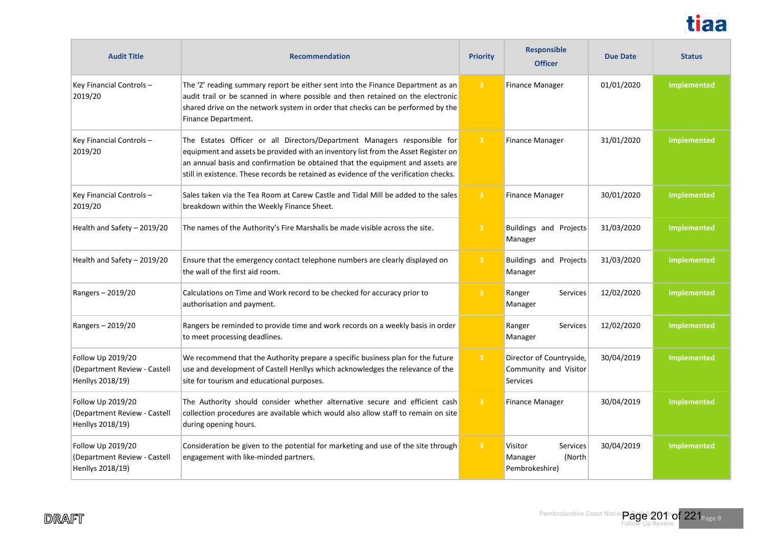

| <b>Audit Title</b>                                                    | <b>Recommendation</b>                                                                                                                                                                                                                                                                                                                     | <b>Priority</b>         | <b>Responsible</b><br><b>Officer</b>                          | <b>Due Date</b> | <b>Status</b> |
|-----------------------------------------------------------------------|-------------------------------------------------------------------------------------------------------------------------------------------------------------------------------------------------------------------------------------------------------------------------------------------------------------------------------------------|-------------------------|---------------------------------------------------------------|-----------------|---------------|
| Key Financial Controls-<br>2019/20                                    | The 'Z' reading summary report be either sent into the Finance Department as an<br>audit trail or be scanned in where possible and then retained on the electronic<br>shared drive on the network system in order that checks can be performed by the<br>Finance Department.                                                              | $\overline{3}$          | <b>Finance Manager</b>                                        | 01/01/2020      | Implemented   |
| Key Financial Controls-<br>2019/20                                    | The Estates Officer or all Directors/Department Managers responsible for<br>equipment and assets be provided with an inventory list from the Asset Register on<br>an annual basis and confirmation be obtained that the equipment and assets are<br>still in existence. These records be retained as evidence of the verification checks. | $\overline{3}$          | <b>Finance Manager</b>                                        | 31/01/2020      | Implemented   |
| Key Financial Controls-<br>2019/20                                    | Sales taken via the Tea Room at Carew Castle and Tidal Mill be added to the sales<br>breakdown within the Weekly Finance Sheet.                                                                                                                                                                                                           | $\overline{3}$          | <b>Finance Manager</b>                                        | 30/01/2020      | Implemented   |
| Health and Safety - 2019/20                                           | The names of the Authority's Fire Marshalls be made visible across the site.                                                                                                                                                                                                                                                              | $\overline{3}$          | Buildings and Projects<br>Manager                             | 31/03/2020      | Implemented   |
| Health and Safety - 2019/20                                           | Ensure that the emergency contact telephone numbers are clearly displayed on<br>the wall of the first aid room.                                                                                                                                                                                                                           | $\overline{3}$          | Buildings and Projects<br>Manager                             | 31/03/2020      | Implemented   |
| Rangers - 2019/20                                                     | Calculations on Time and Work record to be checked for accuracy prior to<br>authorisation and payment.                                                                                                                                                                                                                                    | $\overline{3}$          | Ranger<br><b>Services</b><br>Manager                          | 12/02/2020      | Implemented   |
| Rangers - 2019/20                                                     | Rangers be reminded to provide time and work records on a weekly basis in order<br>to meet processing deadlines.                                                                                                                                                                                                                          |                         | Ranger<br><b>Services</b><br>Manager                          | 12/02/2020      | Implemented   |
| Follow Up 2019/20<br>(Department Review - Castell<br>Henllys 2018/19) | We recommend that the Authority prepare a specific business plan for the future<br>use and development of Castell Henllys which acknowledges the relevance of the<br>site for tourism and educational purposes.                                                                                                                           | $\overline{\mathbf{3}}$ | Director of Countryside,<br>Community and Visitor<br>Services | 30/04/2019      | Implemented   |
| Follow Up 2019/20<br>(Department Review - Castell<br>Henllys 2018/19) | The Authority should consider whether alternative secure and efficient cash<br>collection procedures are available which would also allow staff to remain on site<br>during opening hours.                                                                                                                                                | $\overline{3}$          | <b>Finance Manager</b>                                        | 30/04/2019      | Implemented   |
| Follow Up 2019/20<br>(Department Review - Castell<br>Henllys 2018/19) | Consideration be given to the potential for marketing and use of the site through<br>engagement with like-minded partners.                                                                                                                                                                                                                | $\overline{\mathbf{3}}$ | Visitor<br>Services<br>Manager<br>(North<br>Pembrokeshire)    | 30/04/2019      | Implemented   |